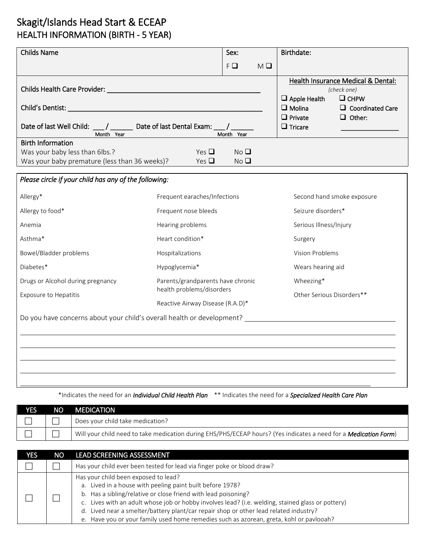## Skagit/Islands Head Start & ECEAP HEALTH INFORMATION (BIRTH - 5 YEAR)

| <b>Childs Name</b>                                                                                          |                                  | Sex:                               |                        | Birthdate:                                                                                                                                                                               |
|-------------------------------------------------------------------------------------------------------------|----------------------------------|------------------------------------|------------------------|------------------------------------------------------------------------------------------------------------------------------------------------------------------------------------------|
|                                                                                                             |                                  | $F \square$                        | $M \square$            |                                                                                                                                                                                          |
| Date of last Well Child: ___/ ________ Date of last Dental Exam: ___/ ____                                  |                                  |                                    |                        | Health Insurance Medical & Dental:<br>(check one)<br>$\Box$ Apple Health<br>$\Box$ CHPW<br>$\Box$ Molina<br>$\Box$ Coordinated Care<br>$\Box$ Private<br>$\Box$ Other:<br>$\Box$ Tricare |
| Month Year                                                                                                  |                                  | Month Year                         |                        |                                                                                                                                                                                          |
| <b>Birth Information</b><br>Was your baby less than 6lbs.?<br>Was your baby premature (less than 36 weeks)? | Yes $\Box$<br>Yes $\Box$         | No <sub>Q</sub><br>No <sub>Q</sub> |                        |                                                                                                                                                                                          |
| Please circle if your child has any of the following:                                                       |                                  |                                    |                        |                                                                                                                                                                                          |
| Allergy*                                                                                                    | Frequent earaches/Infections     |                                    |                        | Second hand smoke exposure                                                                                                                                                               |
| Allergy to food*                                                                                            | Frequent nose bleeds             |                                    | Seizure disorders*     |                                                                                                                                                                                          |
| Anemia                                                                                                      | Hearing problems                 |                                    | Serious Illness/Injury |                                                                                                                                                                                          |
| Asthma*                                                                                                     | Heart condition*                 |                                    | Surgery                |                                                                                                                                                                                          |
| Bowel/Bladder problems                                                                                      | Hospitalizations                 |                                    |                        | <b>Vision Problems</b>                                                                                                                                                                   |
| Diabetes*                                                                                                   | Hypoglycemia*                    |                                    |                        | Wears hearing aid                                                                                                                                                                        |
| Parents/grandparents have chronic<br>Drugs or Alcohol during pregnancy                                      |                                  |                                    |                        | Wheezing*                                                                                                                                                                                |
| <b>Exposure to Hepatitis</b>                                                                                | health problems/disorders        |                                    |                        | Other Serious Disorders**                                                                                                                                                                |
|                                                                                                             | Reactive Airway Disease (R.A.D)* |                                    |                        |                                                                                                                                                                                          |
| Do you have concerns about your child's overall health or development? _____________________________        |                                  |                                    |                        |                                                                                                                                                                                          |
|                                                                                                             |                                  |                                    |                        |                                                                                                                                                                                          |
|                                                                                                             |                                  |                                    |                        |                                                                                                                                                                                          |
|                                                                                                             |                                  |                                    |                        |                                                                                                                                                                                          |

\*Indicates the need for an *Individual Child Health Plan* \*\* Indicates the need for a *Specialized Health Care Plan* 

| YES | NO. | <b>MEDICATION</b>                                                                                                        |
|-----|-----|--------------------------------------------------------------------------------------------------------------------------|
|     |     | Does your child take medication?                                                                                         |
|     |     | Will your child need to take medication during EHS/PHS/ECEAP hours? (Yes indicates a need for a <b>Medication Form</b> ) |

| YES | NO | <b>LEAD SCREENING ASSESSMENT</b>                                                                                                                                                                                                                                                                                                                                                                                                                             |  |
|-----|----|--------------------------------------------------------------------------------------------------------------------------------------------------------------------------------------------------------------------------------------------------------------------------------------------------------------------------------------------------------------------------------------------------------------------------------------------------------------|--|
|     |    | Has your child ever been tested for lead via finger poke or blood draw?                                                                                                                                                                                                                                                                                                                                                                                      |  |
|     |    | Has your child been exposed to lead?<br>a. Lived in a house with peeling paint built before 1978?<br>b. Has a sibling/relative or close friend with lead poisoning?<br>c. Lives with an adult whose job or hobby involves lead? (i.e. welding, stained glass or pottery)<br>d. Lived near a smelter/battery plant/car repair shop or other lead related industry?<br>e. Have you or your family used home remedies such as azorean, greta, kohl or pavlooah? |  |